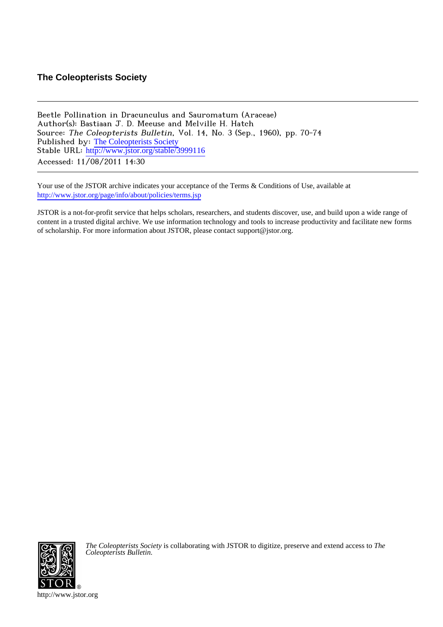# **The Coleopterists Society**

Beetle Pollination in Dracunculus and Sauromatum (Araceae) Author(s): Bastiaan J. D. Meeuse and Melville H. Hatch Source: The Coleopterists Bulletin, Vol. 14, No. 3 (Sep., 1960), pp. 70-74 Published by: [The Coleopterists Society](http://www.jstor.org/action/showPublisher?publisherCode=cole) Stable URL: [http://www.jstor.org/stable/3999116](http://www.jstor.org/stable/3999116?origin=JSTOR-pdf) Accessed: 11/08/2011 14:30

Your use of the JSTOR archive indicates your acceptance of the Terms & Conditions of Use, available at <http://www.jstor.org/page/info/about/policies/terms.jsp>

JSTOR is a not-for-profit service that helps scholars, researchers, and students discover, use, and build upon a wide range of content in a trusted digital archive. We use information technology and tools to increase productivity and facilitate new forms of scholarship. For more information about JSTOR, please contact support@jstor.org.



*The Coleopterists Society* is collaborating with JSTOR to digitize, preserve and extend access to *The Coleopterists Bulletin.*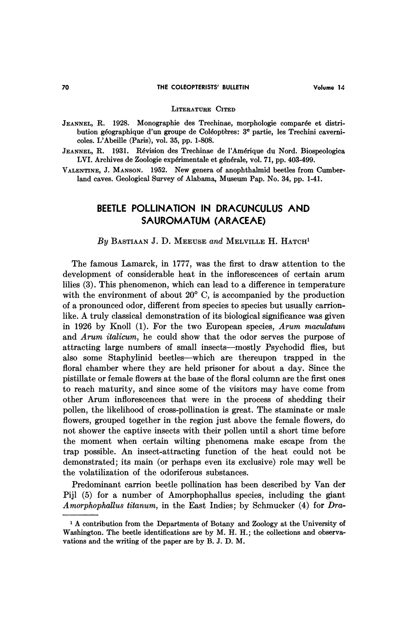#### **LITERATURE CITED**

- JEANNEL, R. 1928. Monographie des Trechinae, morphologie comparée et distribution géographique d'un groupe de Coléoptères: 3<sup>e</sup> partie, les Trechini caverni**coles. L'Abeille (Paris), vol. 35, pp. 1-808.**
- **JEANNEL, R. 1931. R6vision des Trechinae de l'Am6rique du Nord. Biospeologica**  LVI. Archives de Zoologie expérimentale et générale, vol. 71, pp. 403-499.
- **VALENTINE, J. MANSON. 1952. New genera of anophthalmid beetles from Cumber**land caves. Geological Survey of Alabama, Museum Pap. No. 34, pp. 1-41.

# **BEETLE POLLINATION IN DRACUNCULUS AND SAUROMATUM (ARACEAE)**

**By BASTIAAN J. D. MEEUSE and MELVILLE H. HATCH'** 

**The famous Lamarck, in 1777, was the first to draw attention to the development of considerable heat in the inflorescences of certain arum lilies (3). This phenomenon, which can lead to a difference in temperature**  with the environment of about 20° C, is accompanied by the production **of a pronounced odor, different from species to species but usually carrionlike. A truly classical demonstration of its biological significance was given**  in 1926 by Knoll (1). For the two European species, Arum maculatum **and Arum italicum, he could show that the odor serves the purpose of attracting large numbers of small insects-mostly Psychodid flies, but also some Staphylinid beetles-which are thereupon trapped in the floral chamber where they are held prisoner for about a day. Since the pistillate or female flowers at the base of the floral column are the first ones to reach maturity, and since some of the visitors may have come from other Arum inflorescences that were in the process of shedding their pollen, the likelihood of cross-pollination is great. The staminate or male flowers, grouped together in the region just above the female flowers, do not shower the captive insects with their pollen until a short time before the moment when certain wilting phenomena make escape from the trap possible. An insect-attracting function of the heat could not be demonstrated; its main (or perhaps even its exclusive) role may well be the volatilization of the odoriferous substances.** 

**Predominant carrion beetle pollination has been described by Van der Pijl (5) for a number of Amorphophallus species, including the giant Amorphophallus titanum, in the East Indies; by Schmucker (4) for Dra-**

**<sup>1</sup> A contribution from the Departments of Botany and Zoology at the University of Washington. The beetle identifications are by M. H. H.; the collections and observavations and the writing of the paper are by B. J. D. M.**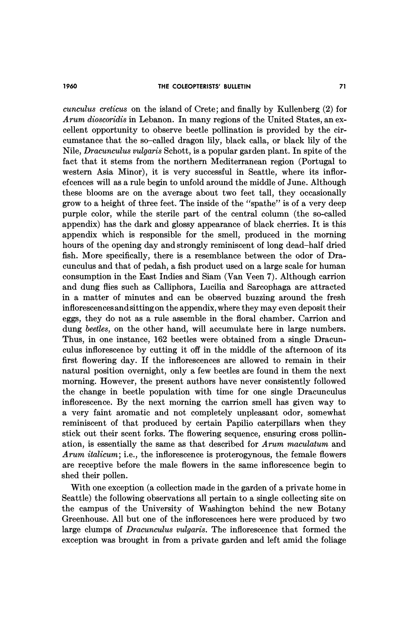**1960 THE COLEOPTERISTS' BULLETIN 71** 

**cunculus creticus on the island of Crete; and finally by Kullenberg (2) for Arum dioscoridis in Lebanon. In many regions of the United States, an excellent opportunity to observe beetle pollination is provided by the circumstance that the so-called dragon lily, black calla, or black lily of the Nile, Dracunculus vulgaris Schott, is a popular garden plant. In spite of the fact that it stems from the northern Mediterranean region (Portugal to western Asia Minor), it is very successful in Seattle, where its inflorefeences will as a rule begin to unfold around the middle of June. Although these blooms are on the average about two feet tall, they occasionally grow to a height of three feet. The inside of the "spathe" is of a very deep purple color, while the sterile part of the central column (the so-called appendix) has the dark and glossy appearance of black cherries. It is this appendix which is responsible for the smell, produced in the morning hours of the opening day and strongly reminiscent of long dead-half dried fish. More specifically, there is a resemblance between the odor of Dracunculus and that of pedah, a fish product used on a large scale for human consumption in the East Indies and Siam (Van Veen 7). Although carrion and dung flies such as Calliphora, Lucilia and Sarcophaga are attracted in a matter of minutes and can be observed buzzing around the fresh inflorescences and sitting on the appendix, where they may even deposit their eggs, they do not as a rule assemble in the floral chamber. Carrion and dung beetles, on the other hand, will accumulate here in large numbers. Thus, in one instance, 162 beetles were obtained from a single Dracunculus inflorescence by cutting it off in the middle of the afternoon of its first flowering day. If the inflorescences are allowed to remain in their natural position overnight, only a few beetles are found in them the next morning. However, the present authors have never consistently followed the change in beetle population with time for one single Dracunculus inflorescence. By the next morning the carrion smell has given way to a very faint aromatic and not completely unpleasant odor, somewhat reminiscent of that produced by certain Papilio caterpillars when they stick out their scent forks. The flowering sequence, ensuring cross pollination, is essentially the same as that described for Arum maculatum and Arum italicum; i.e., the inflorescence is proterogynous, the female flowers are receptive before the male flowers in the same inflorescence begin to shed their pollen.** 

**With one exception (a collection made in the garden of a private home in Seattle) the following observations all pertain to a single collecting site on the campus of the University of Washington behind the new Botany Greenhouse. All but one of the inflorescences here were produced by two large clumps of Dracunculus vulgaris. The inflorescence that formed the exception was brought in from a private garden and left amid the foliage**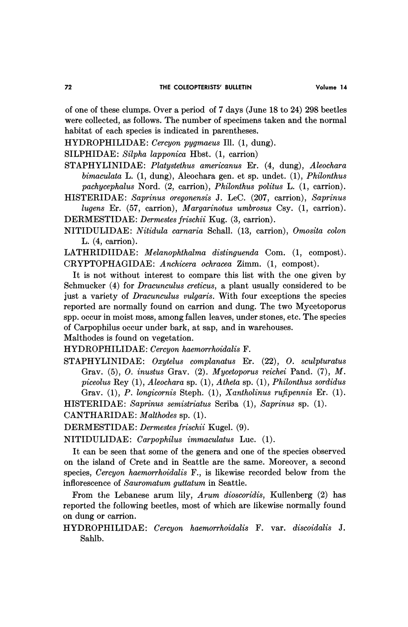**of one of these clumps. Over a period of 7 days (June 18 to 24) 298 beetles were collected, as follows. The number of specimens taken and the normal habitat of each species is indicated in parentheses.** 

**HYDROPHILIDAE: Cercyon pygmaeus Ill. (1, dung).** 

**SILPHIDAE: Silpha lapponica Hbst. (1, carrion)** 

- **STAPHYLINIDAE: Platystethus americanus Er. (4, dung), Aleochara bimaculata L. (1, dung), Aleochara gen. et sp. undet. (1), Philonthus pachycephalus Nord. (2, carrion), Philonthus politus L. (1, carrion).**
- **HISTERIDAE: Saprinus oregonensis J. LeC. (207, carrion), Saprinus**  lugens Er. (57, carrion), Margarinotus umbrosus Csy. (1, carrion).

**DERMESTIDAE: Dermestes frischii Kug. (3, carrion).** 

**NITIDULIDAE: Nitidula carnaria Schall. (13, carrion), Omosita colon L. (4, carrion).** 

**LATHRJDIIDAE: Melanophthalma distinguenda Com. (1, compost). CRYPTOPHAGIDAE: Anchicera ochracea Zimm. (1, compost).** 

**It is not without interest to compare this list with the one given by Schmucker (4) for Dracunculus creticus, a plant usually considered to be just a variety of Dracunculus vulgaris. With four exceptions the species reported are normally found on carrion and dung. The two Mycetoporus spp. occur in moist moss, among fallen leaves, under stones, etc. The species of Carpophilus occur under bark, at sap, and in warehouses.** 

**Malthodes is found on vegetation.** 

**HYDROPHILIDAE: Cercyon haemorrhoidalis F.** 

**STAPHYLINIDAE: Oxytelus complanatus Er. (22), 0. sculpturatus**  Grav. (5), O. *inustus Grav.* (2). *Mycetoporus reichei Pand.* (7), *M*. **piceolus Rey (1), Aleochara sp. (1), Atheta sp. (1), Philonthus sordidus Grav. (1), P. longicornis Steph. (1), Xantholinus rufipennis Er. (1).** 

**HISTERIDAE: Saprinus semistriatus Scriba (1), Saprinus sp. (1).** 

**CANTHARIDAE: Malthodes sp. (1).** 

**DERMESTIDAE: Dermestes frischii Kugel. (9).** 

**NITIDULIDAE: Carpophilus immaculatus Luc. (1).** 

**It can be seen that some of the genera and one of the species observed on the island of Crete and in Seattle are the same. Moreover, a second species, Cercyon haemorrhoidalis F., is likewise recorded below from the inflorescence of Sauromatum guttatum in Seattle.** 

From the Lebanese arum lily, *Arum dioscoridis*, Kullenberg (2) has **reported the following beetles, most of which are likewise normally found on dung or carrion.** 

## **HYDROPHILIDAE:** Cercyon haemorrhoidalis F. var. discoidalis J. **Sahlb.**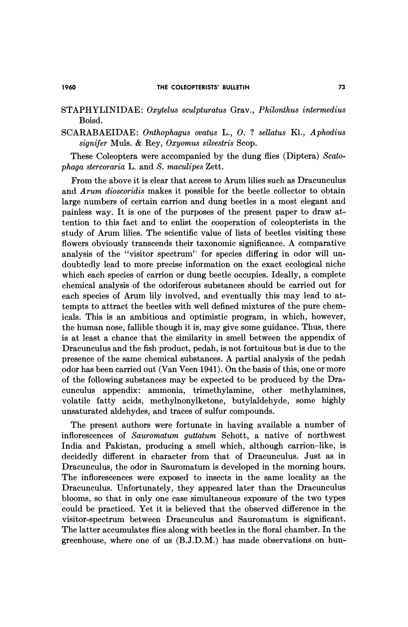#### **1960 THE COLEOPTERISTS' BULLETIN 73**

**STAPHYLINIDAE: Oxytelus sculpturatus Grav., Philonthus intermedius Boisd.** 

**SCARABAEIDAE: Onthophagus ovatus L., 0. ? sellatus Ki., Aphodius signifer Muls. & Rey, Oxyomus silvestris Scop.** 

**These Coleoptera were accompanied by the dung flies (Diptera) Scatophaga stercoraria L. and S. maculipes Zett.** 

**From the above it is clear that access to Arum lilies such as Dracunculus and Arum dioscoridis makes it possible for the beetle collector to obtain large numbers of certain carrion and dung beetles in a most elegant and painless way. It is one of the purposes of the present paper to draw attention to this fact and to enlist the cooperation of coleopterists in the study of Arum lilies. The scientific value of lists of beetles visiting these flowers obviously transcends their taxonomic significance. A comparative**  analysis of the "visitor spectrum" for species differing in odor will un**doubtedly lead to more precise information on the exact ecological niche which each species of carrion or dung beetle occupies. Ideally, a complete chemical analysis of the odoriferous substances should be carried out for each species of Arum lily involved, and eventually this may lead to attempts to attract the beetles with well defined mixtures of the pure chemicals. This is an ambitious and optimistic program, in which, however, the human nose, fallible though it is, may give some guidance. Thus, there is at least a chance that the similaritv in smell between the appendix of Dracunculus and the fish product, pedah, is not fortuitous but is due to the presence of the same chemical substances. A partial analysis of the pedah odor has been carried out (Van Veen 1941). On the basis of this, one or more of the following substances may be expected to be produced by the Dracunculus appendix: ammonia, trimethylamine, other methylamines, volatile fatty acids, methylnonylketone, butylaldehyde, some highly unsaturated aldehydes, and traces of sulfur compounds.** 

**The present authors were fortunate in having available a number of inflorescences of Sauromatum guttatum Schott, a native of northwest India and Pakistan, producing a smell which, although carrion-like, is decidedly different in character from that of Dracunculus. Just as in Dracunculus, the odor in Sauromatum is developed in the morning hours. The inflorescences were exposed to insects in the same locality as the Dracunculus. Unfortunately, they appeared later than the Dracunculus blooms, so that in only one case simultaneous exposure of the two types could be practiced. Yet it is believed that the observed difference in the visitor-spectrum between Dracunculus and Sauromatum is significant. The latter accumulates flies along with beetles in the floral chamber. In the greenhouse, where one of us (B.J.D.M.) has made observations on hun-**